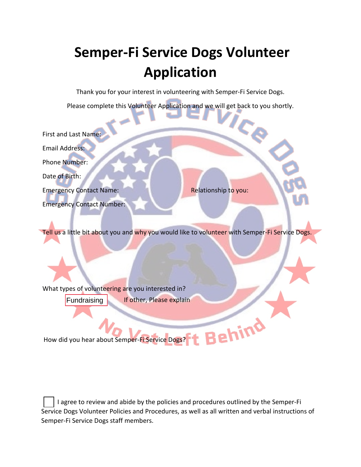# **Semper-Fi Service Dogs Volunteer Application**

Thank you for your interest in volunteering with Semper-Fi Service Dogs.

Please complete this Volunteer Application and we will get back to you shortly.

Ce First and Last Name: Email Address: Phone Number: Date of Birth: Emergency Contact Name: Relationship to you: Emergency Contact Number:

Tell us a little bit about you and why you would like to volunteer with Semper-Fi Service Dogs.

What types of volunteering are you interested in? **Fundraising** If other, Please explain

How did you hear about Semper-Fi Service Dogs?

 I agree to review and abide by the policies and procedures outlined by the Semper-Fi Service Dogs Volunteer Policies and Procedures, as well as all written and verbal instructions of Semper-Fi Service Dogs staff members.

hind